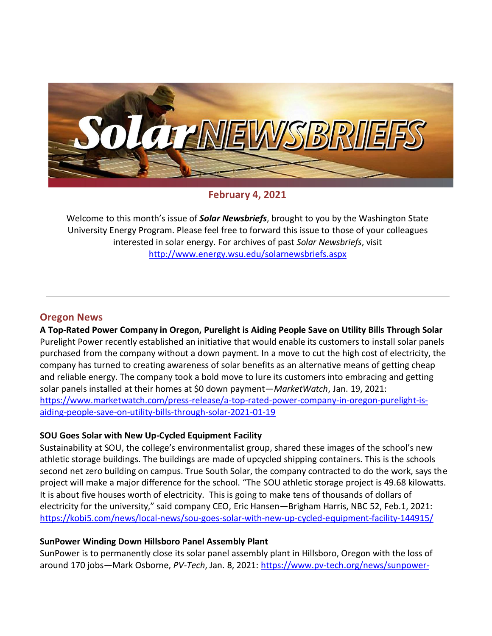

**February 4, 2021**

Welcome to this month's issue of *Solar Newsbriefs*, brought to you by the Washington State University Energy Program. Please feel free to forward this issue to those of your colleagues interested in solar energy. For archives of past *Solar Newsbriefs*, visit <http://www.energy.wsu.edu/solarnewsbriefs.aspx>

### **Oregon News**

**A Top-Rated Power Company in Oregon, Purelight is Aiding People Save on Utility Bills Through Solar** Purelight Power recently established an initiative that would enable its customers to install solar panels purchased from the company without a down payment. In a move to cut the high cost of electricity, the company has turned to creating awareness of solar benefits as an alternative means of getting cheap and reliable energy. The company took a bold move to lure its customers into embracing and getting solar panels installed at their homes at \$0 down payment—*MarketWatch*, Jan. 19, 2021: [https://www.marketwatch.com/press-release/a-top-rated-power-company-in-oregon-purelight-is](https://www.marketwatch.com/press-release/a-top-rated-power-company-in-oregon-purelight-is-aiding-people-save-on-utility-bills-through-solar-2021-01-19)[aiding-people-save-on-utility-bills-through-solar-2021-01-19](https://www.marketwatch.com/press-release/a-top-rated-power-company-in-oregon-purelight-is-aiding-people-save-on-utility-bills-through-solar-2021-01-19)

### **SOU Goes Solar with New Up-Cycled Equipment Facility**

Sustainability at SOU, the college's environmentalist group, shared these images of the school's new athletic storage buildings. The buildings are made of upcycled shipping containers. This is the schools second net zero building on campus. True South Solar, the company contracted to do the work, says the project will make a major difference for the school. "The SOU athletic storage project is 49.68 kilowatts. It is about five houses worth of electricity. This is going to make tens of thousands of dollars of electricity for the university," said company CEO, Eric Hansen—Brigham Harris, NBC 52, Feb.1, 2021: <https://kobi5.com/news/local-news/sou-goes-solar-with-new-up-cycled-equipment-facility-144915/>

### **SunPower Winding Down Hillsboro Panel Assembly Plant**

SunPower is to permanently close its solar panel assembly plant in Hillsboro, Oregon with the loss of around 170 jobs—Mark Osborne, *PV-Tech*, Jan. 8, 2021: [https://www.pv-tech.org/news/sunpower-](https://www.pv-tech.org/news/sunpower-winding-down-hillsboro-panel-assembly-plant)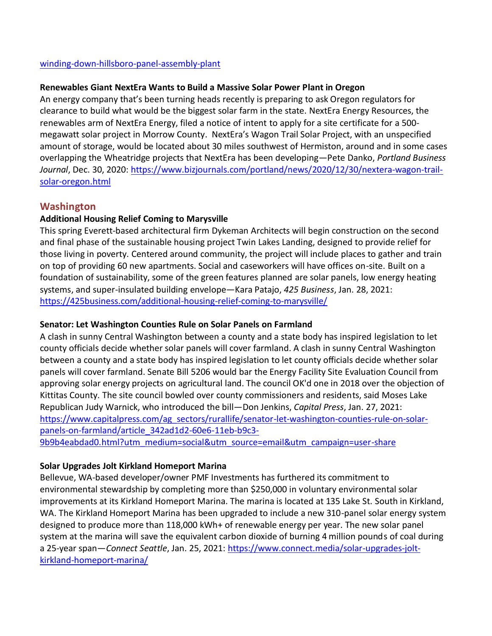### [winding-down-hillsboro-panel-assembly-plant](https://www.pv-tech.org/news/sunpower-winding-down-hillsboro-panel-assembly-plant)

### **Renewables Giant NextEra Wants to Build a Massive Solar Power Plant in Oregon**

An energy company that's been turning heads recently is preparing to ask Oregon regulators for clearance to build what would be the biggest solar farm in the state. NextEra Energy Resources, the renewables arm of NextEra Energy, filed a notice of intent to apply for a site certificate for a 500 megawatt solar project in Morrow County. NextEra's Wagon Trail Solar Project, with an unspecified amount of storage, would be located about 30 miles southwest of Hermiston, around and in some cases overlapping the Wheatridge projects that NextEra has been developing—Pete Danko, *Portland Business Journal*, Dec. 30, 2020: [https://www.bizjournals.com/portland/news/2020/12/30/nextera-wagon-trail](https://www.bizjournals.com/portland/news/2020/12/30/nextera-wagon-trail-solar-oregon.html)[solar-oregon.html](https://www.bizjournals.com/portland/news/2020/12/30/nextera-wagon-trail-solar-oregon.html)

## **Washington**

## **Additional Housing Relief Coming to Marysville**

This spring Everett-based architectural firm Dykeman Architects will begin construction on the second and final phase of the sustainable housing project Twin Lakes Landing, designed to provide relief for those living in poverty. Centered around community, the project will include places to gather and train on top of providing 60 new apartments. Social and caseworkers will have offices on-site. Built on a foundation of sustainability, some of the green features planned are solar panels, low energy heating systems, and super-insulated building envelope—Kara Patajo, *425 Business*, Jan. 28, 2021: <https://425business.com/additional-housing-relief-coming-to-marysville/>

## **Senator: Let Washington Counties Rule on Solar Panels on Farmland**

A clash in sunny Central Washington between a county and a state body has inspired legislation to let county officials decide whether solar panels will cover farmland. A clash in sunny Central Washington between a county and a state body has inspired legislation to let county officials decide whether solar panels will cover farmland. Senate Bill 5206 would bar the Energy Facility Site Evaluation Council from approving solar energy projects on agricultural land. The council OK'd one in 2018 over the objection of Kittitas County. The site council bowled over county commissioners and residents, said Moses Lake Republican Judy Warnick, who introduced the bill—Don Jenkins, *Capital Press*, Jan. 27, 2021: [https://www.capitalpress.com/ag\\_sectors/rurallife/senator-let-washington-counties-rule-on-solar](https://www.capitalpress.com/ag_sectors/rurallife/senator-let-washington-counties-rule-on-solar-panels-on-farmland/article_342ad1d2-60e6-11eb-b9c3-9b9b4eabdad0.html?utm_medium=social&utm_source=email&utm_campaign=user-share)[panels-on-farmland/article\\_342ad1d2-60e6-11eb-b9c3-](https://www.capitalpress.com/ag_sectors/rurallife/senator-let-washington-counties-rule-on-solar-panels-on-farmland/article_342ad1d2-60e6-11eb-b9c3-9b9b4eabdad0.html?utm_medium=social&utm_source=email&utm_campaign=user-share) [9b9b4eabdad0.html?utm\\_medium=social&utm\\_source=email&utm\\_campaign=user-share](https://www.capitalpress.com/ag_sectors/rurallife/senator-let-washington-counties-rule-on-solar-panels-on-farmland/article_342ad1d2-60e6-11eb-b9c3-9b9b4eabdad0.html?utm_medium=social&utm_source=email&utm_campaign=user-share)

## **Solar Upgrades Jolt Kirkland Homeport Marina**

Bellevue, WA-based developer/owner PMF Investments has furthered its commitment to environmental stewardship by completing more than \$250,000 in voluntary environmental solar improvements at its Kirkland Homeport Marina. The marina is located at 135 Lake St. South in Kirkland, WA. The Kirkland Homeport Marina has been upgraded to include a new 310-panel solar energy system designed to produce more than 118,000 kWh+ of renewable energy per year. The new solar panel system at the marina will save the equivalent carbon dioxide of burning 4 million pounds of coal during a 25-year span—*Connect Seattle*, Jan. 25, 2021: [https://www.connect.media/solar-upgrades-jolt](https://www.connect.media/solar-upgrades-jolt-kirkland-homeport-marina/)[kirkland-homeport-marina/](https://www.connect.media/solar-upgrades-jolt-kirkland-homeport-marina/)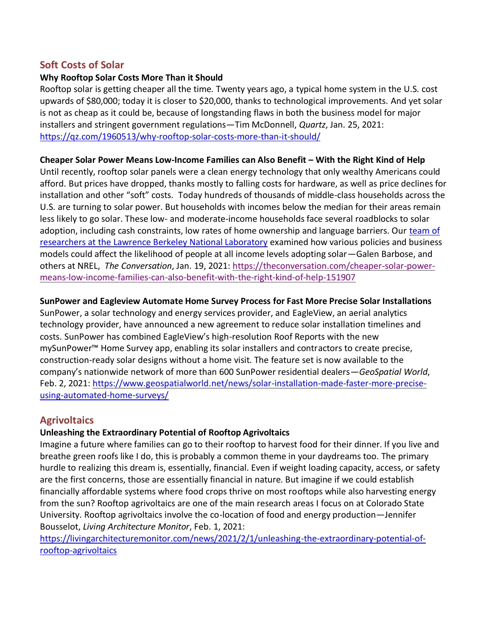# **Soft Costs of Solar**

## **Why Rooftop Solar Costs More Than it Should**

Rooftop solar is getting cheaper all the time. Twenty years ago, a typical home system in the U.S. cost upwards of \$80,000; today it is closer to \$20,000, thanks to technological improvements. And yet solar is not as cheap as it could be, because of longstanding flaws in both the business model for major installers and stringent government regulations—Tim McDonnell, *Quartz*, Jan. 25, 2021: <https://qz.com/1960513/why-rooftop-solar-costs-more-than-it-should/>

### **Cheaper Solar Power Means Low-Income Families can Also Benefit – With the Right Kind of Help**

Until recently, rooftop solar panels were a clean energy technology that only wealthy Americans could afford. But prices have dropped, thanks mostly to falling costs for hardware, as well as price declines for installation and other "soft" costs. Today hundreds of thousands of middle-class households across the U.S. are turning to [solar power.](https://emp.lbl.gov/tracking-the-sun) But households with incomes below the median for their areas remain less likely to go solar. These low- and moderate-income households face several roadblocks to solar adoption, including cash constraints, low rates of home ownership and language barriers. Our [team of](https://emp.lbl.gov/publications/income-trends-among-us-residential)  [researchers at the Lawrence Berkeley National Laboratory](https://emp.lbl.gov/publications/income-trends-among-us-residential) examined how various policies and business models could affect the likelihood of people at all income levels adopting solar—Galen Barbose, and others at NREL, *The Conversation*, Jan. 19, 2021: [https://theconversation.com/cheaper-solar-power](https://theconversation.com/cheaper-solar-power-means-low-income-families-can-also-benefit-with-the-right-kind-of-help-151907)[means-low-income-families-can-also-benefit-with-the-right-kind-of-help-151907](https://theconversation.com/cheaper-solar-power-means-low-income-families-can-also-benefit-with-the-right-kind-of-help-151907)

### **SunPower and Eagleview Automate Home Survey Process for Fast More Precise Solar Installations**

[SunPower,](https://us.sunpower.com/) a solar technology and energy services provider, and [EagleView,](https://www.eagleview.com/) an aerial analytics technology provider, have announced a new agreement to reduce solar installation timelines and costs. SunPower has combined EagleView's high-resolution Roof Reports with the new mySunPower™ Home Survey app, enabling its solar installers and contractors to create precise, construction-ready solar designs without a home visit. The feature set is now available to the company's nationwide network of more than 600 SunPower residential dealers—*GeoSpatial World*, Feb. 2, 2021: [https://www.geospatialworld.net/news/solar-installation-made-faster-more-precise](https://www.geospatialworld.net/news/solar-installation-made-faster-more-precise-using-automated-home-surveys/)[using-automated-home-surveys/](https://www.geospatialworld.net/news/solar-installation-made-faster-more-precise-using-automated-home-surveys/)

# **Agrivoltaics**

## **Unleashing the Extraordinary Potential of Rooftop Agrivoltaics**

Imagine a future where families can go to their rooftop to harvest food for their dinner. If you live and breathe green roofs like I do, this is probably a common theme in your daydreams too. The primary hurdle to realizing this dream is, essentially, financial. Even if weight loading capacity, access, or safety are the first concerns, those are essentially financial in nature. But imagine if we could establish financially affordable systems where food crops thrive on most rooftops while also harvesting energy from the sun? Rooftop agrivoltaics are one of the main research areas I focus on at Colorado State University. Rooftop agrivoltaics involve the co-location of food and energy production—Jennifer Bousselot, *Living Architecture Monitor*, Feb. 1, 2021:

[https://livingarchitecturemonitor.com/news/2021/2/1/unleashing-the-extraordinary-potential-of](https://livingarchitecturemonitor.com/news/2021/2/1/unleashing-the-extraordinary-potential-of-rooftop-agrivoltaics)[rooftop-agrivoltaics](https://livingarchitecturemonitor.com/news/2021/2/1/unleashing-the-extraordinary-potential-of-rooftop-agrivoltaics)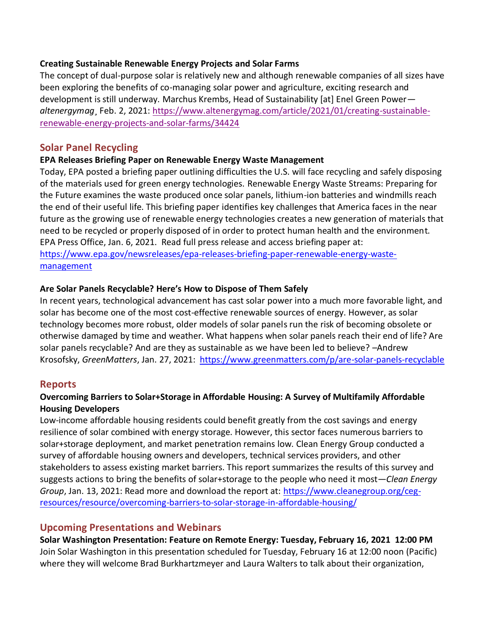### **Creating Sustainable Renewable Energy Projects and Solar Farms**

The concept of dual-purpose solar is relatively new and although renewable companies of all sizes have been exploring the benefits of co-managing solar power and agriculture, exciting research and development is still underway. Marchus Krembs, Head of Sustainability [at] Enel Green Power *altenergymag*¸ Feb. 2, 2021: [https://www.altenergymag.com/article/2021/01/creating-sustainable](https://www.altenergymag.com/article/2021/01/creating-sustainable-renewable-energy-projects-and-solar-farms/34424)[renewable-energy-projects-and-solar-farms/34424](https://www.altenergymag.com/article/2021/01/creating-sustainable-renewable-energy-projects-and-solar-farms/34424)

# **Solar Panel Recycling**

### **EPA Releases Briefing Paper on Renewable Energy Waste Management**

Today, EPA posted a briefing paper outlining difficulties the U.S. will face recycling and safely disposing of the materials used for green energy technologies. Renewable Energy Waste Streams: Preparing for the Future examines the waste produced once solar panels, lithium-ion batteries and windmills reach the end of their useful life. This briefing paper identifies key challenges that America faces in the near future as the growing use of renewable energy technologies creates a new generation of materials that need to be recycled or properly disposed of in order to protect human health and the environment. EPA Press Office, Jan. 6, 2021. Read full press release and access briefing paper at: [https://www.epa.gov/newsreleases/epa-releases-briefing-paper-renewable-energy-waste](https://www.epa.gov/newsreleases/epa-releases-briefing-paper-renewable-energy-waste-management)[management](https://www.epa.gov/newsreleases/epa-releases-briefing-paper-renewable-energy-waste-management)

### **Are Solar Panels Recyclable? Here's How to Dispose of Them Safely**

In recent years, technological advancement has cast solar power into a much more favorable light, and solar has become one of the most cost-effective renewable sources of energy. However, as solar technology becomes more robust, older models of solar panels run the risk of becoming obsolete or otherwise damaged by time and weather. What happens when solar panels reach their end of life? Are solar panels recyclable? And are they as sustainable as we have been led to believe? –Andrew Krosofsky, *GreenMatters*, Jan. 27, 2021:<https://www.greenmatters.com/p/are-solar-panels-recyclable>

## **Reports**

## **Overcoming Barriers to Solar+Storage in Affordable Housing: A Survey of Multifamily Affordable Housing Developers**

Low-income affordable housing residents could benefit greatly from the cost savings and energy resilience of solar combined with energy storage. However, this sector faces numerous barriers to solar+storage deployment, and market penetration remains low. Clean Energy Group conducted a survey of affordable housing owners and developers, technical services providers, and other stakeholders to assess existing market barriers. This report summarizes the results of this survey and suggests actions to bring the benefits of solar+storage to the people who need it most—*Clean Energy Group*, Jan. 13, 2021: Read more and download the report at: [https://www.cleanegroup.org/ceg](https://www.cleanegroup.org/ceg-resources/resource/overcoming-barriers-to-solar-storage-in-affordable-housing/)[resources/resource/overcoming-barriers-to-solar-storage-in-affordable-housing/](https://www.cleanegroup.org/ceg-resources/resource/overcoming-barriers-to-solar-storage-in-affordable-housing/)

## **Upcoming Presentations and Webinars**

**[Solar Washington Presentation: Feature on Remote Energy:](https://www.solarwa.org/january_2021_solar_washington_presentation_working_in_solar_installer) Tuesday, February 16, 2021 12:00 PM** Join Solar Washington in this presentation scheduled for Tuesday, February 16 at 12:00 noon (Pacific) where they will welcome Brad Burkhartzmeyer and Laura Walters to talk about their organization,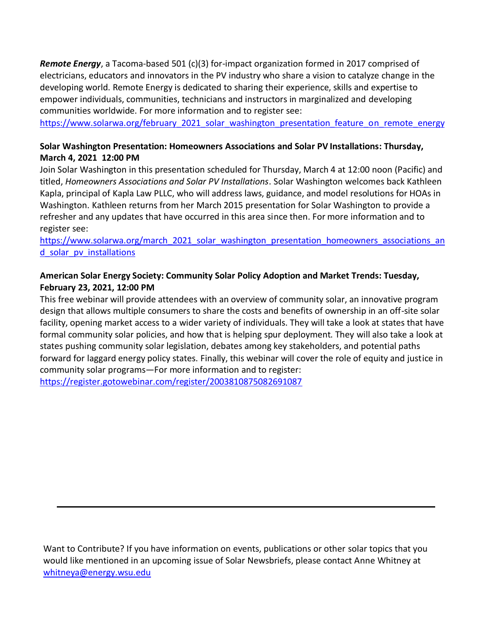*Remote Energy*, a Tacoma-based 501 (c)(3) for-impact organization formed in 2017 comprised of electricians, educators and innovators in the PV industry who share a vision to catalyze change in the developing world. Remote Energy is dedicated to sharing their experience, skills and expertise to empower individuals, communities, technicians and instructors in marginalized and developing communities worldwide. For more information and to register see:

https://www.solarwa.org/february 2021 solar washington presentation feature on remote energy

## **[Solar Washington Presentation: Homeowners Associations](https://www.solarwa.org/january_2021_solar_washington_presentation_working_in_solar_installer) and Solar PV Installations: Thursday, March 4, 2021 12:00 PM**

Join Solar Washington in this presentation scheduled for Thursday, March 4 at 12:00 noon (Pacific) and titled, *Homeowners Associations and Solar PV Installations*. Solar Washington welcomes back Kathleen Kapla, principal o[f Kapla Law PLLC,](https://kaplalaw.com/) who will address laws, guidance, and model resolutions for HOAs in Washington. Kathleen returns from her March 2015 presentation for Solar Washington to provide a refresher and any updates that have occurred in this area since then. For more information and to register see:

[https://www.solarwa.org/march\\_2021\\_solar\\_washington\\_presentation\\_homeowners\\_associations\\_an](https://www.solarwa.org/march_2021_solar_washington_presentation_homeowners_associations_and_solar_pv_installations) d solar pv installations

## **American Solar Energy Society: Community Solar Policy Adoption and Market Trends: Tuesday, February 23, 2021, 12:00 PM**

This free webinar will provide attendees with an overview of community solar, an innovative program design that allows multiple consumers to share the costs and benefits of ownership in an off-site solar facility, opening market access to a wider variety of individuals. They will take a look at states that have formal community solar policies, and how that is helping spur deployment. They will also take a look at states pushing community solar legislation, debates among key stakeholders, and potential paths forward for laggard energy policy states. Finally, this webinar will cover the role of equity and justice in community solar programs—For more information and to register:

<https://register.gotowebinar.com/register/2003810875082691087>

Want to Contribute? If you have information on events, publications or other solar topics that you would like mentioned in an upcoming issue of Solar Newsbriefs, please contact Anne Whitney at [whitneya@energy.wsu.edu](mailto:whitneya@energy.wsu.edu)